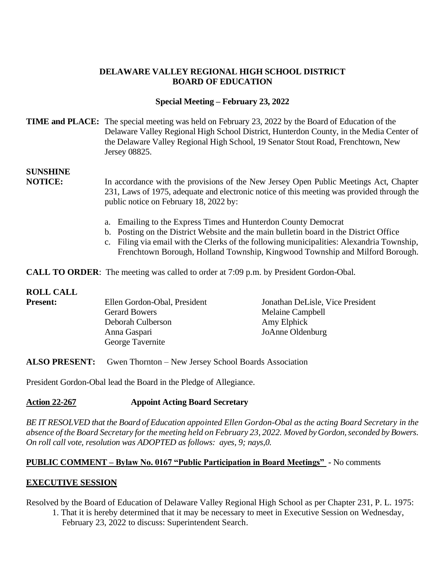## **DELAWARE VALLEY REGIONAL HIGH SCHOOL DISTRICT BOARD OF EDUCATION**

## **Special Meeting – February 23, 2022**

## **TIME and PLACE:** The special meeting was held on February 23, 2022 by the Board of Education of the Delaware Valley Regional High School District, Hunterdon County, in the Media Center of the Delaware Valley Regional High School, 19 Senator Stout Road, Frenchtown, New Jersey 08825.

# **SUNSHINE**

**NOTICE:** In accordance with the provisions of the New Jersey Open Public Meetings Act, Chapter 231, Laws of 1975, adequate and electronic notice of this meeting was provided through the public notice on February 18, 2022 by:

- a. Emailing to the Express Times and Hunterdon County Democrat
- b. Posting on the District Website and the main bulletin board in the District Office
- c. Filing via email with the Clerks of the following municipalities: Alexandria Township, Frenchtown Borough, Holland Township, Kingwood Township and Milford Borough.

**CALL TO ORDER:** The meeting was called to order at 7:09 p.m. by President Gordon-Obal.

#### **ROLL CALL**

| <b>Present:</b> | Ellen Gordon-Obal, President | Jonathan DeLisle, Vice President |
|-----------------|------------------------------|----------------------------------|
|                 | <b>Gerard Bowers</b>         | Melaine Campbell                 |
|                 | Deborah Culberson            | Amy Elphick                      |
|                 | Anna Gaspari                 | JoAnne Oldenburg                 |
|                 | George Tavernite             |                                  |

**ALSO PRESENT:** Gwen Thornton – New Jersey School Boards Association

President Gordon-Obal lead the Board in the Pledge of Allegiance.

#### **Action 22-267 Appoint Acting Board Secretary**

*BE IT RESOLVED that the Board of Education appointed Ellen Gordon-Obal as the acting Board Secretary in the absence of the Board Secretary for the meeting held on February 23, 2022. Moved by Gordon, seconded by Bowers. On roll call vote, resolution was ADOPTED as follows: ayes, 9; nays,0.*

#### **PUBLIC COMMENT – Bylaw No. 0167 "Public Participation in Board Meetings" -** No comments

# **EXECUTIVE SESSION**

Resolved by the Board of Education of Delaware Valley Regional High School as per Chapter 231, P. L. 1975:

1. That it is hereby determined that it may be necessary to meet in Executive Session on Wednesday, February 23, 2022 to discuss: Superintendent Search.